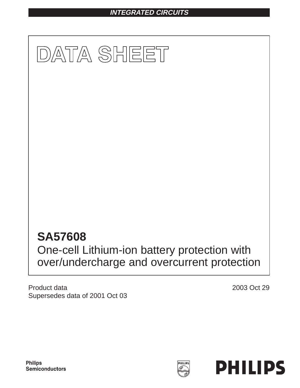# **INTEGRATED CIRCUITS**



Product data Supersedes data of 2001 Oct 03 2003 Oct 29

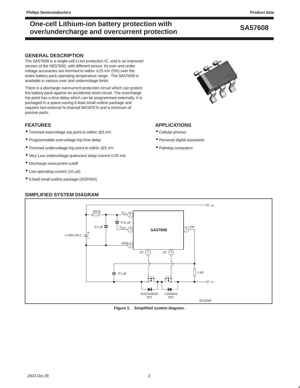# **SA57608 One-cell Lithium-ion battery protection with over/undercharge and overcurrent protection**

## **GENERAL DESCRIPTION**

The SA57608 is a single-cell Li-ion protection IC, and is an improved version of the NE57600, with different pinout. Its over and under voltage accuracies are trimmed to within  $\pm 25$  mV (5%) over the entire battery pack operating temperature range. The SA57608 is available in various over and undervoltage limits.

There is a discharge overcurrent protection circuit which can protect the battery pack against an accidental short-circuit. The overcharge trip point has a time delay which can be programmed externally. It is packaged in a space-saving 6-lead small outline package and requires two external N-channel MOSFETs and a minimum of passive parts.

# **FEATURES**

- Trimmed overvoltage trip point to within ±25 mV
- Programmable overvoltage trip time delay
- Trimmed undervoltage trip point to within ±25 mV
- Very Low undervoltage quiescent sleep current 0.05 mA
- Discharge overcurrent cutoff
- $\bullet$  Low operating current (10  $\mu$ A)
- 6-lead small outline package (SOP004)

## **SIMPLIFIED SYSTEM DIAGRAM**



# **APPLICATIONS**

- Cellular phones
- Personal digital assistants
- Palmtop computers



### **Figure 1. Simplified system diagram.**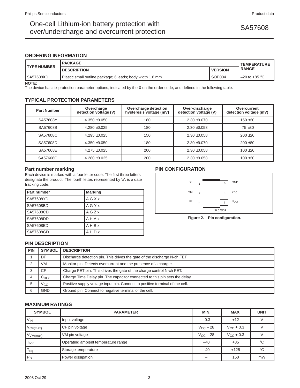# One-cell Lithium-ion battery protection with<br>
SA57608 over/undercharge and overcurrent protection

# **ORDERING INFORMATION**

| <b>PACKAGE</b>                                            | <b>TEMPERATURE</b> |                          |  |
|-----------------------------------------------------------|--------------------|--------------------------|--|
| <b>DESCRIPTION</b>                                        | <b>VERSION</b>     | <b>RANGE</b>             |  |
| Plastic small outline package; 6 leads; body width 1.8 mm | SOP <sub>004</sub> | $-20$ to +85 $\degree$ C |  |
|                                                           |                    |                          |  |

**NOTE:**

The device has six protection parameter options, indicated by the **X** on the order code, and defined in the following table.

# **TYPICAL PROTECTION PARAMETERS**

| <b>Part Number</b> | Overcharge<br>detection voltage (V) | Overcharge detection<br>hysteresis voltage (mV) | Over-discharge<br>detection voltage (V) | Overcurrent<br>detection voltage (mV) |
|--------------------|-------------------------------------|-------------------------------------------------|-----------------------------------------|---------------------------------------|
| SA57608Y           | $4.350 + 0.050$                     | 180                                             | $2.30 + 0.070$                          | $150 + 30$                            |
| SA57608B           | $4.280 + 0.025$                     | 180                                             | $2.30 + 0.058$                          | $75 + 30$                             |
| SA57608C           | $4.295 + 0.025$                     | 150                                             | $2.30 + 0.058$                          | $200 + 30$                            |
| SA57608D           | $4.350 + 0.050$                     | 180                                             | $2.30 + 0.070$                          | $200 + 30$                            |
| SA57608E           | $4.275 + 0.025$                     | 200                                             | $2.30 + 0.058$                          | $100 + 30$                            |
| SA57608G           | $4.280 + 0.025$                     | 200                                             | $2.30 + 0.058$                          | $100 + 30$                            |

## **Part number marking**

Each device is marked with a four letter code. The first three letters designate the product. The fourth letter, represented by 'x', is a date tracking code.

| <b>Part number</b> | <b>Marking</b> |
|--------------------|----------------|
| SA57608YD          | AGXx           |
| SA57608BD          | AGYX           |
| SA57608CD          | AGZx           |
| SA57608DD          | AHAx           |
| SA57608ED          | AHBx           |
| SA57608GD          | AHDx           |

# **PIN CONFIGURATION**



**Figure 2. Pin configuration.**

## **PIN DESCRIPTION**

| <b>PIN</b> | <b>SYMBOL</b>                                                         | <b>DESCRIPTION</b>                                                           |  |  |  |
|------------|-----------------------------------------------------------------------|------------------------------------------------------------------------------|--|--|--|
|            | DF.                                                                   | Discharge detection pin. This drives the gate of the discharge N-ch FET.     |  |  |  |
|            | VM<br>Monitor pin. Detects overcurrent and the presence of a charger. |                                                                              |  |  |  |
|            | CF.                                                                   | Charge FET pin. This drives the gate of the charge control N-ch FET.         |  |  |  |
|            | $C_{\text{DLY}}$                                                      | Charge Time Delay pin. The capacitor connected to this pin sets the delay.   |  |  |  |
|            | Vcc                                                                   | Positive supply voltage input pin. Connect to positive terminal of the cell. |  |  |  |
| 6          | <b>GND</b>                                                            | Ground pin. Connect to negative terminal of the cell.                        |  |  |  |

# **MAXIMUM RATINGS**

| <b>SYMBOL</b>        | <b>PARAMETER</b>                    | MIN.                 | MAX.               | <b>UNIT</b> |
|----------------------|-------------------------------------|----------------------|--------------------|-------------|
| $V_{IN}$             | Input voltage                       | $-0.3$               | $+12$              |             |
| VCF(max)             | CF pin voltage                      | $V_{\rm CC}$ – 28    | $V_{\rm CC}$ + 0.3 |             |
| V <sub>VM(max)</sub> | VM pin voltage                      | $V_{\text{CC}} - 28$ | $V_{\rm CC}$ + 0.3 |             |
| $I_{\text{opt}}$     | Operating ambient temperature range | $-40$                | $+85$              | °C          |
| <sup>I</sup> stg     | Storage temperature                 |                      | $+125$             | °C          |
| $P_D$                | Power dissipation                   |                      | 150                | mW          |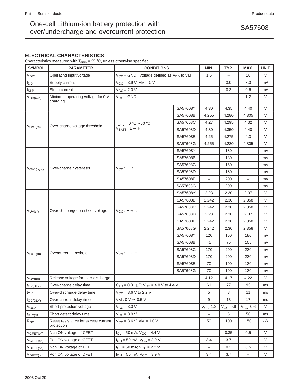# **ELECTRICAL CHARACTERISTICS**

Characteristics measured with  $T_{amb} = 25 °C$ , unless otherwise specified.

| <b>SYMBOL</b>               | <b>PARAMETER</b>                                  | <b>CONDITIONS</b>                                           |          | MIN.                     | TYP.          | MAX.                     | <b>UNIT</b> |
|-----------------------------|---------------------------------------------------|-------------------------------------------------------------|----------|--------------------------|---------------|--------------------------|-------------|
| V <sub>DD1</sub>            | Operating input voltage                           | $V_{CC}$ – GND; Voltage defined as $V_{DD}$ to VM           |          | 1.5                      |               | 10                       | V           |
| l <sub>DD</sub>             | Supply current                                    | $V_{CC} = 3.9 V$ ; VM = 0 V                                 |          | $\overline{\phantom{0}}$ | 3.0           | 8.0                      | mA          |
| $I_{SLP}$                   | Sleep current                                     | $V_{CC}$ = 2.0 V                                            |          | $\overline{\phantom{0}}$ | 0.3           | 0.6                      | mA          |
| $V_{DD(min)}$               | Minimum operating voltage for 0 V<br>charging     | $V_{CC}$ – GND                                              |          | $\overline{\phantom{0}}$ |               | 1.2                      | V           |
|                             |                                                   |                                                             | SA57608Y | 4.30                     | 4.35          | 4.40                     | V           |
|                             |                                                   |                                                             | SA57608B | 4.255                    | 4.280         | 4.305                    | $\vee$      |
|                             | Over-charge voltage threshold                     | $T_{amb} = 0 °C \sim 50 °C;$<br>$V_{BAT} : L \rightarrow H$ | SA57608C | 4.27                     | 4.295         | 4.32                     | $\vee$      |
| $V_{OVI(th)}$               |                                                   |                                                             | SA57608D | 4.30                     | 4.350         | 4.40                     | $\vee$      |
|                             |                                                   |                                                             | SA57608E | 4.25                     | 4.275         | 4.3                      | $\vee$      |
|                             |                                                   |                                                             | SA57608G | 4.255                    | 4.280         | 4.305                    | $\vee$      |
|                             |                                                   |                                                             | SA57608Y | $\overline{\phantom{0}}$ | 180           | $\overline{\phantom{0}}$ | mV          |
|                             |                                                   |                                                             | SA57608B | $\overline{\phantom{0}}$ | 180           | $\overline{\phantom{0}}$ | mV          |
| VOV <sub>1</sub> (hyst)     | Over-charge hysteresis                            | $V_{CC}$ : H $\rightarrow$ L                                | SA57608C | $\overline{\phantom{0}}$ | 150           | $\overline{\phantom{0}}$ | mV          |
|                             |                                                   |                                                             | SA57608D | $\overline{\phantom{0}}$ | 180           | $\equiv$                 | mV          |
|                             |                                                   |                                                             | SA57608E | $\overline{\phantom{0}}$ | 200           | $\overline{\phantom{0}}$ | mV          |
|                             |                                                   |                                                             | SA57608G | $\overline{\phantom{0}}$ | 200           | $\overline{\phantom{0}}$ | mV          |
|                             |                                                   | $V_{CC}$ : H $\rightarrow$ L                                | SA57608Y | 2.23                     | 2.30          | 2.37                     | V           |
|                             | Over-discharge threshold voltage                  |                                                             | SA57608B | 2.242                    | 2.30          | 2.358                    | $\vee$      |
|                             |                                                   |                                                             | SA57608C | 2.242                    | 2.30          | 2.358                    | $\vee$      |
| $V_{UV(th)}$                |                                                   |                                                             | SA57608D | 2.23                     | 2.30          | 2.37                     | $\vee$      |
|                             |                                                   |                                                             | SA57608E | 2.242                    | 2.30          | 2.358                    | $\vee$      |
|                             |                                                   |                                                             | SA57608G | 2.242                    | 2.30          | 2.358                    | $\vee$      |
|                             |                                                   | $V_{VM}: L \rightarrow H$                                   | SA57608Y | 120                      | 150           | 180                      | mV          |
|                             |                                                   |                                                             | SA57608B | 45                       | 75            | 105                      | mV          |
|                             |                                                   |                                                             | SA57608C | 170                      | 200           | 230                      | mV          |
| $V_{OC1(th)}$               | Overcurrent threshold                             |                                                             | SA57608D | 170                      | 200           | 230                      | mV          |
|                             |                                                   |                                                             | SA57608E | 70                       | 100           | 130                      | mV          |
|                             |                                                   |                                                             | SA57608G | 70                       | 100           | 130                      | mV          |
| $V_{\text{OV}(\text{rel})}$ | Release voltage for over-discharge                |                                                             |          | 4.12                     | 4.17          | 4.22                     | $\vee$      |
| $t_{\text{OV(DLY)}}$        | Over-charge delay time                            | $C_{\text{TD}}$ = 0.01 µF; $V_{\text{CC}}$ = 4.0 V to 4.4 V |          | 61                       | 77            | 93                       | ms          |
| $t_{\rm OV}$                | Over-discharge delay time                         | $V_{\text{CC}} = 3.6 \text{ V}$ to 2.2 V                    |          | 5                        | 8             | 11                       | ms          |
| $to$ C(DLY)                 | Over-current delay time                           | $VM: 0 V \rightarrow 0.5 V$                                 |          | 9                        | 13            | 17                       | ms          |
| $V_{OC2}$                   | Short protection voltage                          | $V_{CC}$ = 3.0 V                                            |          | $V_{CC}$ -1.2            | $V_{CC}$ -0.9 | $V_{CC}$ -0.6            | V           |
| $t_{\text{DLY(SC)}}$        | Short detect delay time                           | $V_{\text{CC}} = 3.0 \text{ V}$                             |          | $\overline{\phantom{0}}$ | 5             | 50                       | ms          |
| $R_{SC}$                    | Reset resistance for excess current<br>protection | $V_{CC}$ = 3.6 V; VM = 1.0 V                                |          | 50                       | 100           | 150                      | kW          |
| $V_{CFET(off)}$             | Nch ON voltage of CFET                            | $I_{OL}$ = 50 mA; $V_{CC}$ = 4.4 V                          |          | $\overline{\phantom{0}}$ | 0.35          | 0.5                      | $\vee$      |
| $V_{CFET(on)}$              | Pch ON voltage of CFET                            | $I_{OH} = 50$ mA; $V_{CC} = 3.9$ V                          |          | 3.4                      | 3.7           |                          | V           |
| $V_{\text{DFET(off)}}$      | Nch ON voltage of DFET                            | $I_{OL}$ = 50 mA; $V_{CC}$ = 2.2 V                          |          | $\qquad \qquad -$        | 0.2           | 0.5                      | V           |
| $V_{\text{DFFT}(on)}$       | Pch ON voltage of DFET                            | $I_{OH} = 50$ mA; $V_{CC} = 3.9$ V                          |          | 3.4                      | 3.7           | $\qquad \qquad -$        | V           |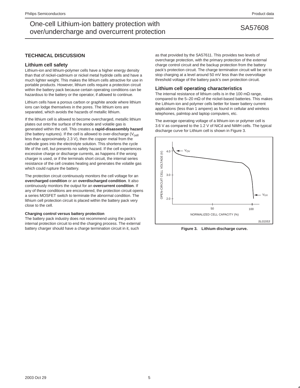# SA57608 One-cell Lithium-ion battery protection with over/undercharge and overcurrent protection

# **TECHNICAL DISCUSSION**

## **Lithium cell safety**

Lithium-ion and lithium-polymer cells have a higher energy density than that of nickel-cadmium or nickel metal hydride cells and have a much lighter weight. This makes the lithium cells attractive for use in portable products. However, lithium cells require a protection circuit within the battery pack because certain operating conditions can be hazardous to the battery or the operator, if allowed to continue.

Lithium cells have a porous carbon or graphite anode where lithium ions can lodge themselves in the pores. The lithium ions are separated, which avoids the hazards of metallic lithium.

If the lithium cell is allowed to become overcharged, metallic lithium plates out onto the surface of the anode and volatile gas is generated within the cell. This creates a **rapid-disassembly hazard** (the battery ruptures). If the cell is allowed to over-discharge  $(V_{cell}$ less than approximately 2.3 V), then the copper metal from the cathode goes into the electrolyte solution. This shortens the cycle life of the cell, but presents no safety hazard. If the cell experiences excessive charge or discharge currents, as happens if the wrong charger is used, or if the terminals short circuit, the internal series resistance of the cell creates heating and generates the volatile gas which could rupture the battery.

The protection circuit continuously monitors the cell voltage for an **overcharged condition** or an **overdischarged condition**. It also continuously monitors the output for an **overcurrent condition**. If any of these conditions are encountered, the protection circuit opens a series MOSFET switch to terminate the abnormal condition. The lithium cell protection circuit is placed within the battery pack very close to the cell.

### **Charging control versus battery protection**

The battery pack industry does not recommend using the pack's internal protection circuit to end the charging process. The external battery charger should have a charge termination circuit in it, such

as that provided by the SA57611. This provides two levels of overcharge protection, with the primary protection of the external charge control circuit and the backup protection from the battery pack's protection circuit. The charge termination circuit will be set to stop charging at a level around 50 mV less than the overvoltage threshold voltage of the battery pack's own protection circuit.

### **Lithium cell operating characteristics**

The internal resistance of lithium cells is in the 100 m $\Omega$  range, compared to the 5–20 m $\Omega$  of the nickel-based batteries. This makes the Lithium-ion and polymer cells better for lower battery current applications (less than 1 ampere) as found in cellular and wireless telephones, palmtop and laptop computers, etc.

The average operating voltage of a lithium-ion or polymer cell is 3.6 V as compared to the 1.2 V of NiCd and NiMH cells. The typical discharge curve for Lithium cell is shown in Figure 3.



**Figure 3. Lithium discharge curve.**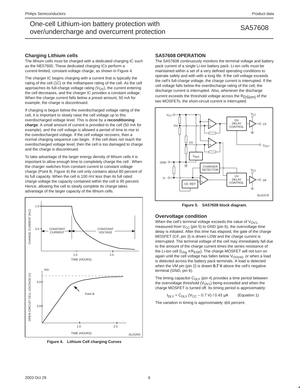# SA57608 One-cell Lithium-ion battery protection with over/undercharge and overcurrent protection

## **Charging Lithium cells**

The lithium cells must be charged with a dedicated charging IC such as the NE57600. These dedicated charging ICs perform a current-limited, constant-voltage charge, as shown in Figure 4.

The charger IC begins charging with a current that is typically the rating of the cell (1C) or the milliampere rating of the cell. As the cell approaches its full-charge voltage rating  $(V_{\text{OV}})$ , the current entering the cell decreases, and the charger IC provides a constant voltage. When the charge current falls below a preset amount, 50 mA for example, the charge is discontinued.

If charging is begun below the overdischarged voltage rating of the cell, it is important to slowly raise the cell voltage up to this overdischarged voltage level. This is done by a **reconditioning charge**. A small amount of current is provided to the cell (50 mA for example), and the cell voltage is allowed a period of time to rise to the overdischarged voltage. If the cell voltage recovers, then a normal charging sequence can begin. If the cell does not reach the overdischarged voltage level, then the cell is too damaged to charge and the charge is discontinued.

To take advantage of the larger energy density of lithium cells it is important to allow enough time to completely charge the cell . When the charger switches from constant current to constant voltage charge (Point B, Figure 4) the cell only contains about 80 percent of its full capacity. When the cell is 100 mV less than its full rated charge voltage the capacity contained within the cell is 95 percent. Hence, allowing the cell to slowly complete its charge takes advantage of the larger capacity of the lithium cells.



**Figure 4. Lithium Cell charging Curves**

### **SA57608 OPERATION**

The SA57608 continuously monitors the terminal voltage and battery pack current of a single Li-ion battery pack. Li-ion cells must be maintained within a set of a very defined operating conditions to operate safely and with with a long life. If the cell voltage exceeds the cell's full-charge voltage, the charge current is interrupted. If the cell voltage falls below the overdischarge rating of the cell, the discharge current is interrupted. Also, whenever the discharge current exceeds the threshold voltage across the R<sub>DS(on)</sub> of the two MOSFETs, the short-circuit current is interrupted.



**Figure 5. SA57608 block diagram.**

## **Overvoltage condition**

When the cell's terminal voltage exceeds the value of  $V_{\text{OVI}}$ , measured from  $V_{CC}$  (pin 5) to GND (pin 6), the overvoltage time delay is initiated. After this time has elapsed, the gate of the charge MOSFET (CF, pin 3) is driven LOW and the charge current is interrupted. The terminal voltage of the cell may immediately fall due to the amount of the charge current times the series resistance of the Li-ion cell  $(I_{chq} \times R_{ESR})$ . The charge MOSFET will not turn on again until the cell voltage has fallen below  $V_{\text{OV(rel)}}$ , or when a load is detected across the battery pack terminals. A load is detected when the VM pin (pin 2) is drawn **0.7 V** above the cell's negative terminal (GND, pin 6).

The timing capacitor  $C_{DLY}$  (pin 4) provides a time period between the overvoltage threshold  $(V<sub>OVI</sub>)$  being exceeded and when the charge MOSFET is turned off. Its timing period is approximately:

$$
t_{DLY} = C_{DLY} (V_{CC} - 0.7 V) / 0.43 \mu A
$$
 (Equation 1)

The variation in timing is approximately ±16 percent.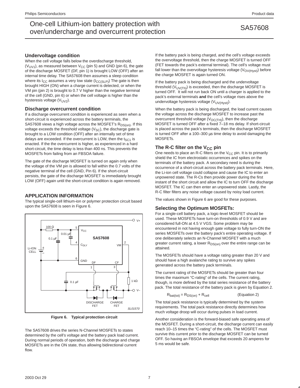# **Undervoltage condition**

When the cell voltage falls below the overdischarge threshold,  $(V_{UV1})$ , as measured between  $V_{CC}$  (pin 5) and GND (pin 6), the gate of the discharge MOSFET (DF, pin 1) is brought LOW (OFF) after an internal time delay. The SA57608 then assumes a sleep condition where its  $I_{CC}$  assumes a very low state  $(I_{CC(SLP)})$  The gate is then brought HIGH (ON) when a charge current is detected, or when the VM pin (pin 2) is brought to 0.7 V higher than the negative terminal of the cell (GND, pin 6) or when the cell voltage is higher than the hysteresis voltage  $(V_{UV2})$ .

## **Discharge overcurrent condition**

If a discharge overcurrent condition is experienced as seen when a short-circuit is experienced across the battery terminals, the SA57608 views a high voltage across the MOSFET's  $R_{DS(on)}$ . If this voltage exceeds the threshold voltage  $(V<sub>SC</sub>)$ , the discharge gate is brought to a LOW condition (OFF) after an internally set of time delays are exceeded. If the overcurrent is LOW, then the  $t_{SC1}$  is enacted. If the the overcurrent is higher, as experienced in a hard short-circuit, the time delay is less than 400 ns. This prevents the MOSFETs from failing from an FBSOA failure.

The gate of the discharge MOSFET is turned on again only when the voltage of the VM pin is allowed to fall within the 0.7 volts of the negative terminal of the cell (GND, Pin 6). If the short-circuit persists, the gate of the discharge MOSFET is immediately brought LOW (OFF) again until the short-circuit condition is again removed.

## **APPLICATION INFORMATION**

The typical single-cell lithium-ion or polymer protection circuit based upon the SA57608 is seen in Figure 6.



**Figure 6. Typical protection circuit**

The SA57608 drives the series N-Channel MOSFETs to states determined by the cell's voltage and the battery pack load current. During normal periods of operation, both the discharge and charge MOSFETs are in the ON state, thus allowing bidirectional current flow.

If the battery pack is being charged, and the cell's voltage exceeds the overvoltage threshold, then the charge MOSFET is turned OFF (FET towards the pack's external terminal). The cell's voltage must fall lower than the overvoltage hysteresis voltage  $(V_{\text{OV(Hyst)}})$  before the charge MOSFET is again turned ON.

If the battery pack is being discharged and the undervoltage threshold ( $V_{UV(Th)}$ ) is exceeded, then the discharge MOSFET is turned OFF. It will not run back ON until a charger is applied to the pack's external terminals **and** the cell's voltage rises above the undervoltage hysteresis voltage (V<sub>UV(Hyst)</sub>).

When the battery pack is being discharged, the load current causes the voltage across the discharge MOSFET to increase past the overcurrent threshold voltage  $(V_{OCTH})$ , then the discharge MOSFET is turned OFF after a fixed 7–18 ms delay. If short-circuit is placed across the pack's terminals, then the discharge MOSFET is turned OFF after a 100–300 µs time delay to avoid damaging the MOSFETs.

## The R-C filter on the V<sub>CC</sub> pin

One needs to place an R-C filters on the  $V_{CC}$  pin. It is to primarily shield the IC from electrostatic occurrences and spikes on the terminals of the battery pack. A secondary need is during the occurrence of a short-circuit across the battery pack terminals. Here, the Li-ion cell voltage could collapse and cause the IC to enter an unpowered state. The R-Cs then provide power during the first instant of the short circuit and allow the IC to turn OFF the discharge MOSFET. The IC can then enter an unpowered state. Lastly, the R-C filter filters any noise voltage caused by noisy load current.

The values shown in Figure 6 are good for these purposes.

## **Selecting the Optimum MOSFETs:**

For a single-cell battery pack, a logic-level MOSFET should be used. These MOSFETs have turn-on thresholds of 0.9 V and are considered full-ON at 4.5 V VGS. Some problem may be encountered in not having enough gate voltage to fully turn-ON the series MOSFETs over the battery pack's entire operating voltage. If one deliberately selects an N-Channel MOSFET with a much greater current rating, a lower  $R_{DS(on)}$  over the entire range can be attained.

The MOSFETs should have a voltage rating greater than 20 V and should have a high avalanche rating to survive any spikes generated across the battery pack terminals.

The current rating of the MOSFETs should be greater than four times the maximum "C-rating" of the cells. The current rating, though, is more defined by the total series resistance of the battery pack. The total resistance of the battery pack is given by Equation 2.

$$
R_{bat(tot)} = R_{DS(on)} + R_{cell}
$$
 (Equation 2)

The total pack resistance is typically determined by the system requirements. The total pack resistance directly determines how much voltage droop will occur during pulses in load current.

Another consideration is the forward-biased safe operating area of the MOSFET. During a short-circuit, the discharge current can easily reach 10–15 times the "C-rating" of the cells. The MOSFET must survive this current prior to the discharge MOSFET can be turned OFF. So having an FBSOA envelope that exceeds 20 amperes for 5 ms would be safe.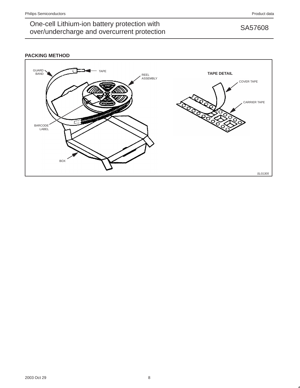# One-cell Lithium-ion battery protection with<br>
SA57608 over/undercharge and overcurrent protection

# **PACKING METHOD**

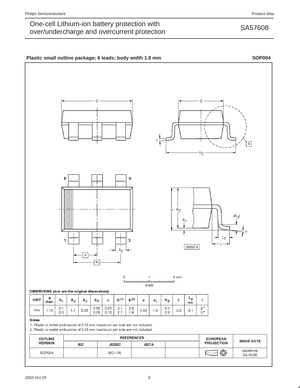# One-cell Lithium-ion battery protection with<br>
SA57608 over/undercharge and overcurrent protection